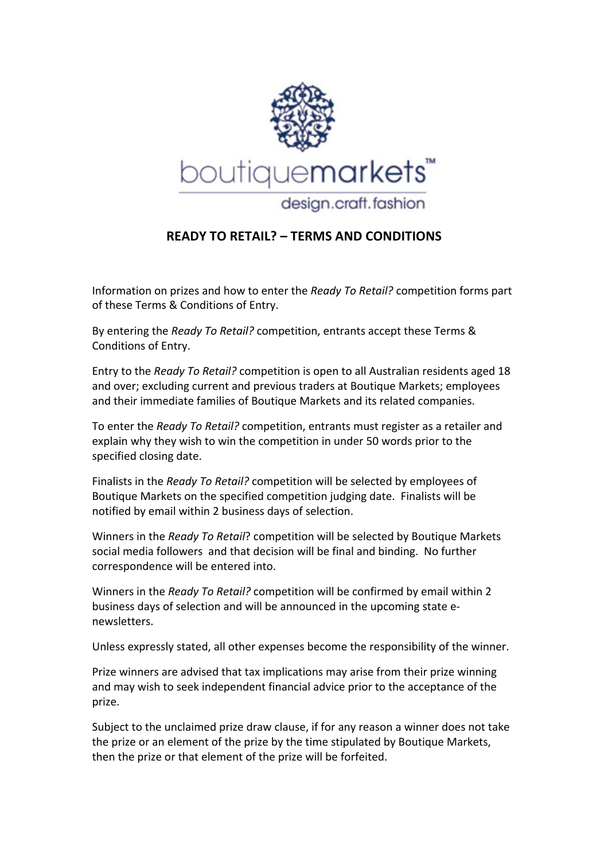

## **READY TO RETAIL? - TERMS AND CONDITIONS**

Information
on
prizes
and
how
to
enter
the *Ready
To
Retail?*competition
forms
part of
these
Terms
&
Conditions
of
Entry.

By entering the *Ready To Retail?* competition, entrants accept these Terms & Conditions
of
Entry.

Entry to the *Ready To Retail?* competition is open to all Australian residents aged 18 and
over;
excluding
current
and
previous
traders
at
Boutique
Markets;
employees and
their
immediate
families
of
Boutique
Markets
and
its
related
companies.

To enter the *Ready To Retail?* competition, entrants must register as a retailer and explain why they wish to win the competition in under 50 words prior to the specified closing date.

Finalists in the *Ready To Retail?* competition will be selected by employees of Boutique
Markets
on
the
specified
competition
judging
date.

Finalists
will
be notified
by
email
within
2
business
days
of
selection.

Winners in the *Ready To Retail*? competition will be selected by Boutique Markets social
media
followers

and
that
decision
will
be
final
and
binding.

No
further correspondence
will
be
entered
into.

Winners in the *Ready To Retail?* competition will be confirmed by email within 2 business
days
of
selection
and
will
be
announced
in
the
upcoming
state
e‐ newsletters.

Unless expressly stated, all other expenses become the responsibility of the winner.

Prize winners are advised that tax implications may arise from their prize winning and
may
wish
to
seek
independent
financial
advice
prior
to
the
acceptance
of
the prize.

Subject to the unclaimed prize draw clause, if for any reason a winner does not take the
prize
or
an
element
of
the
prize
by
the
time
stipulated
by
Boutique
Markets, then the prize or that element of the prize will be forfeited.